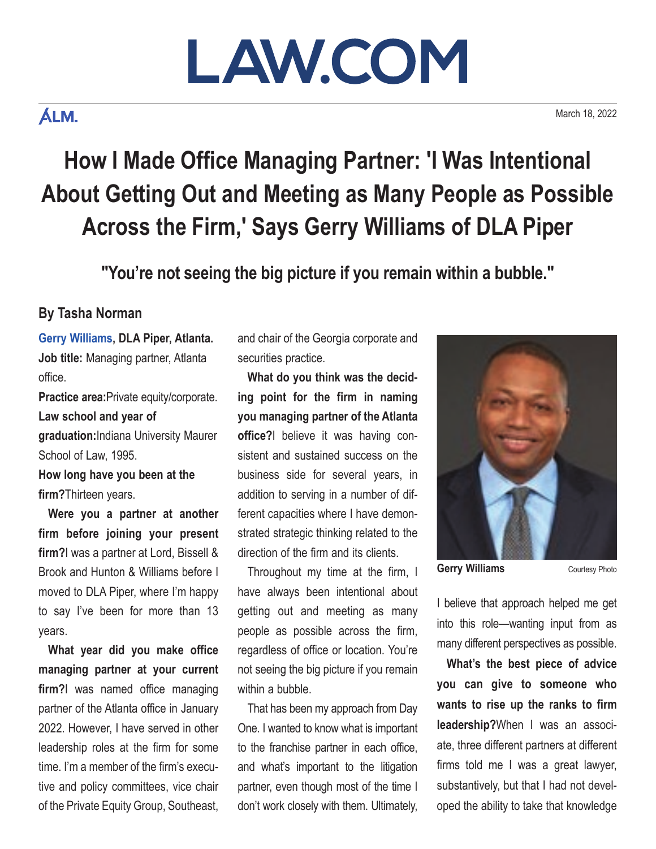# LAW.COM

### **ÁLM.**

March 18, 2022

## **How I Made Office Managing Partner: 'I Was Intentional About Getting Out and Meeting as Many People as Possible Across the Firm,' Says Gerry Williams of DLA Piper**

**"You're not seeing the big picture if you remain within a bubble."**

#### **By Tasha Norman**

**[Gerry Williams](https://www.dlapiper.com/en/us/people/w/williams-gerry/), DLA Piper, Atlanta. Job title:** Managing partner, Atlanta office.

**Practice area:**Private equity/corporate. **Law school and year of graduation:**Indiana University Maurer School of Law, 1995.

**How long have you been at the firm?**Thirteen years.

**Were you a partner at another firm before joining your present firm?**I was a partner at Lord, Bissell & Brook and Hunton & Williams before I moved to DLA Piper, where I'm happy to say I've been for more than 13 years.

**What year did you make office managing partner at your current firm?**I was named office managing partner of the Atlanta office in January 2022. However, I have served in other leadership roles at the firm for some time. I'm a member of the firm's executive and policy committees, vice chair of the Private Equity Group, Southeast,

and chair of the Georgia corporate and securities practice.

**What do you think was the deciding point for the firm in naming you managing partner of the Atlanta office?**I believe it was having consistent and sustained success on the business side for several years, in addition to serving in a number of different capacities where I have demonstrated strategic thinking related to the direction of the firm and its clients.

Throughout my time at the firm, I have always been intentional about getting out and meeting as many people as possible across the firm, regardless of office or location. You're not seeing the big picture if you remain within a bubble.

That has been my approach from Day One. I wanted to know what is important to the franchise partner in each office, and what's important to the litigation partner, even though most of the time I don't work closely with them. Ultimately,



**Gerry Williams** Courtesy Photo

I believe that approach helped me get into this role—wanting input from as many different perspectives as possible.

**What's the best piece of advice you can give to someone who wants to rise up the ranks to firm leadership?**When I was an associate, three different partners at different firms told me I was a great lawyer, substantively, but that I had not developed the ability to take that knowledge